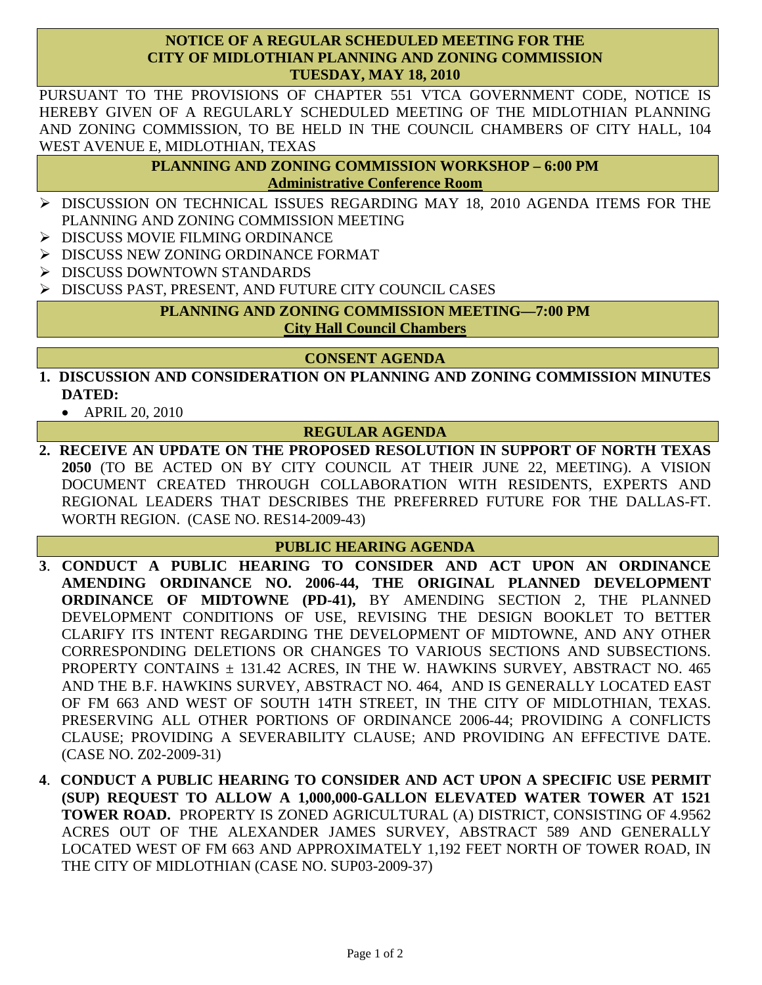### **NOTICE OF A REGULAR SCHEDULED MEETING FOR THE CITY OF MIDLOTHIAN PLANNING AND ZONING COMMISSION TUESDAY, MAY 18, 2010**

PURSUANT TO THE PROVISIONS OF CHAPTER 551 VTCA GOVERNMENT CODE, NOTICE IS HEREBY GIVEN OF A REGULARLY SCHEDULED MEETING OF THE MIDLOTHIAN PLANNING AND ZONING COMMISSION, TO BE HELD IN THE COUNCIL CHAMBERS OF CITY HALL, 104 WEST AVENUE E, MIDLOTHIAN, TEXAS

> **PLANNING AND ZONING COMMISSION WORKSHOP – 6:00 PM Administrative Conference Room**

- ¾ DISCUSSION ON TECHNICAL ISSUES REGARDING MAY 18, 2010 AGENDA ITEMS FOR THE PLANNING AND ZONING COMMISSION MEETING
- ¾ DISCUSS MOVIE FILMING ORDINANCE
- ¾ DISCUSS NEW ZONING ORDINANCE FORMAT
- ¾ DISCUSS DOWNTOWN STANDARDS
- ¾ DISCUSS PAST, PRESENT, AND FUTURE CITY COUNCIL CASES

**PLANNING AND ZONING COMMISSION MEETING—7:00 PM City Hall Council Chambers**

## **CONSENT AGENDA**

- **1. DISCUSSION AND CONSIDERATION ON PLANNING AND ZONING COMMISSION MINUTES DATED:** 
	- APRIL 20, 2010

## **REGULAR AGENDA**

**2. RECEIVE AN UPDATE ON THE PROPOSED RESOLUTION IN SUPPORT OF NORTH TEXAS 2050** (TO BE ACTED ON BY CITY COUNCIL AT THEIR JUNE 22, MEETING). A VISION DOCUMENT CREATED THROUGH COLLABORATION WITH RESIDENTS, EXPERTS AND REGIONAL LEADERS THAT DESCRIBES THE PREFERRED FUTURE FOR THE DALLAS-FT. WORTH REGION. (CASE NO. RES14-2009-43)

### **PUBLIC HEARING AGENDA**

- **3**. **CONDUCT A PUBLIC HEARING TO CONSIDER AND ACT UPON AN ORDINANCE AMENDING ORDINANCE NO. 2006-44, THE ORIGINAL PLANNED DEVELOPMENT ORDINANCE OF MIDTOWNE (PD-41),** BY AMENDING SECTION 2, THE PLANNED DEVELOPMENT CONDITIONS OF USE, REVISING THE DESIGN BOOKLET TO BETTER CLARIFY ITS INTENT REGARDING THE DEVELOPMENT OF MIDTOWNE, AND ANY OTHER CORRESPONDING DELETIONS OR CHANGES TO VARIOUS SECTIONS AND SUBSECTIONS. PROPERTY CONTAINS  $\pm$  131.42 ACRES, IN THE W. HAWKINS SURVEY, ABSTRACT NO. 465 AND THE B.F. HAWKINS SURVEY, ABSTRACT NO. 464, AND IS GENERALLY LOCATED EAST OF FM 663 AND WEST OF SOUTH 14TH STREET, IN THE CITY OF MIDLOTHIAN, TEXAS. PRESERVING ALL OTHER PORTIONS OF ORDINANCE 2006-44; PROVIDING A CONFLICTS CLAUSE; PROVIDING A SEVERABILITY CLAUSE; AND PROVIDING AN EFFECTIVE DATE. (CASE NO. Z02-2009-31)
- **4**. **CONDUCT A PUBLIC HEARING TO CONSIDER AND ACT UPON A SPECIFIC USE PERMIT (SUP) REQUEST TO ALLOW A 1,000,000-GALLON ELEVATED WATER TOWER AT 1521 TOWER ROAD.** PROPERTY IS ZONED AGRICULTURAL (A) DISTRICT, CONSISTING OF 4.9562 ACRES OUT OF THE ALEXANDER JAMES SURVEY, ABSTRACT 589 AND GENERALLY LOCATED WEST OF FM 663 AND APPROXIMATELY 1,192 FEET NORTH OF TOWER ROAD, IN THE CITY OF MIDLOTHIAN (CASE NO. SUP03-2009-37)